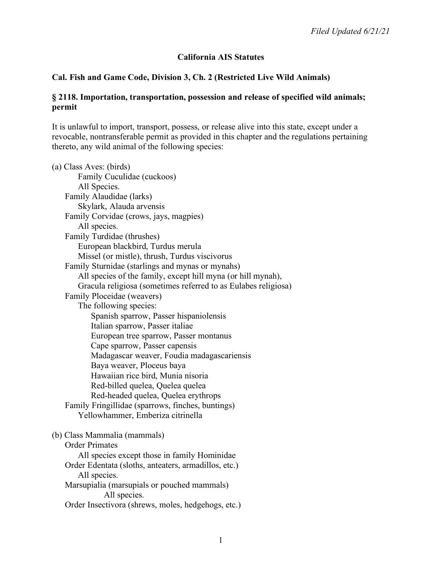# **California AIS Statutes**

## **Cal. Fish and Game Code, Division 3, Ch. 2 (Restricted Live Wild Animals)**

#### **§ 2118. Importation, transportation, possession and release of specified wild animals; permit**

It is unlawful to import, transport, possess, or release alive into this state, except under a revocable, nontransferable permit as provided in this chapter and the regulations pertaining thereto, any wild animal of the following species:

(a) Class Aves: (birds) Family Cuculidae (cuckoos) All Species. Family Alaudidae (larks) Skylark, Alauda arvensis Family Corvidae (crows, jays, magpies) All species. Family Turdidae (thrushes) European blackbird, Turdus merula Missel (or mistle), thrush, Turdus viscivorus Family Sturnidae (starlings and mynas or mynahs) All species of the family, except hill myna (or hill mynah), Gracula religiosa (sometimes referred to as Eulabes religiosa) Family Ploceidae (weavers) The following species: Spanish sparrow, Passer hispaniolensis Italian sparrow, Passer italiae European tree sparrow, Passer montanus Cape sparrow, Passer capensis Madagascar weaver, Foudia madagascariensis Baya weaver, Ploceus baya Hawaiian rice bird, Munia nisoria Red-billed quelea, Quelea quelea Red-headed quelea, Quelea erythrops Family Fringillidae (sparrows, finches, buntings) Yellowhammer, Emberiza citrinella (b) Class Mammalia (mammals) Order Primates All species except those in family Hominidae Order Edentata (sloths, anteaters, armadillos, etc.) All species. Marsupialia (marsupials or pouched mammals) All species. Order Insectivora (shrews, moles, hedgehogs, etc.)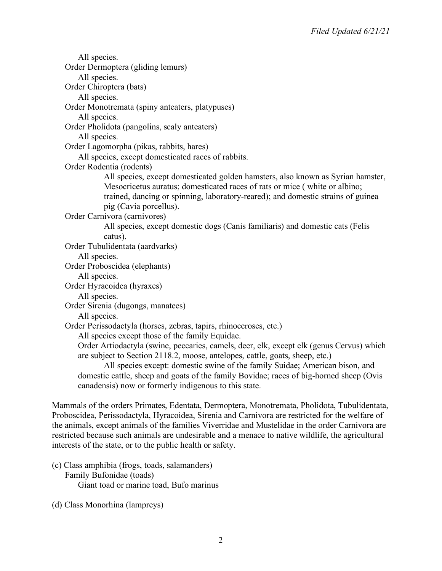All species. Order Dermoptera (gliding lemurs) All species. Order Chiroptera (bats) All species. Order Monotremata (spiny anteaters, platypuses) All species. Order Pholidota (pangolins, scaly anteaters) All species. Order Lagomorpha (pikas, rabbits, hares) All species, except domesticated races of rabbits. Order Rodentia (rodents) All species, except domesticated golden hamsters, also known as Syrian hamster, Mesocricetus auratus; domesticated races of rats or mice ( white or albino; trained, dancing or spinning, laboratory-reared); and domestic strains of guinea pig (Cavia porcellus). Order Carnivora (carnivores) All species, except domestic dogs (Canis familiaris) and domestic cats (Felis catus). Order Tubulidentata (aardvarks) All species. Order Proboscidea (elephants) All species. Order Hyracoidea (hyraxes) All species. Order Sirenia (dugongs, manatees) All species. Order Perissodactyla (horses, zebras, tapirs, rhinoceroses, etc.) All species except those of the family Equidae. Order Artiodactyla (swine, peccaries, camels, deer, elk, except elk (genus Cervus) which are subject to Section 2118.2, moose, antelopes, cattle, goats, sheep, etc.) All species except: domestic swine of the family Suidae; American bison, and domestic cattle, sheep and goats of the family Bovidae; races of big-horned sheep (Ovis canadensis) now or formerly indigenous to this state.

Mammals of the orders Primates, Edentata, Dermoptera, Monotremata, Pholidota, Tubulidentata, Proboscidea, Perissodactyla, Hyracoidea, Sirenia and Carnivora are restricted for the welfare of the animals, except animals of the families Viverridae and Mustelidae in the order Carnivora are restricted because such animals are undesirable and a menace to native wildlife, the agricultural interests of the state, or to the public health or safety.

(c) Class amphibia (frogs, toads, salamanders) Family Bufonidae (toads) Giant toad or marine toad, Bufo marinus

(d) Class Monorhina (lampreys)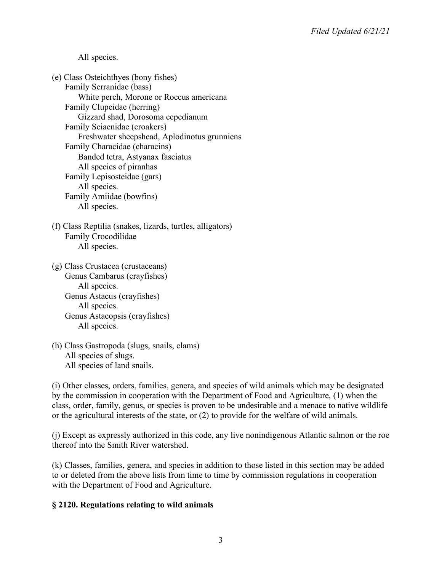All species.

(e) Class Osteichthyes (bony fishes) Family Serranidae (bass) White perch, Morone or Roccus americana Family Clupeidae (herring) Gizzard shad, Dorosoma cepedianum Family Sciaenidae (croakers) Freshwater sheepshead, Aplodinotus grunniens Family Characidae (characins) Banded tetra, Astyanax fasciatus All species of piranhas Family Lepisosteidae (gars) All species. Family Amiidae (bowfins) All species.

(f) Class Reptilia (snakes, lizards, turtles, alligators) Family Crocodilidae All species.

(g) Class Crustacea (crustaceans) Genus Cambarus (crayfishes) All species. Genus Astacus (crayfishes) All species. Genus Astacopsis (crayfishes) All species.

(h) Class Gastropoda (slugs, snails, clams) All species of slugs. All species of land snails.

(i) Other classes, orders, families, genera, and species of wild animals which may be designated by the commission in cooperation with the Department of Food and Agriculture, (1) when the class, order, family, genus, or species is proven to be undesirable and a menace to native wildlife or the agricultural interests of the state, or (2) to provide for the welfare of wild animals.

(j) Except as expressly authorized in this code, any live nonindigenous Atlantic salmon or the roe thereof into the Smith River watershed.

(k) Classes, families, genera, and species in addition to those listed in this section may be added to or deleted from the above lists from time to time by commission regulations in cooperation with the Department of Food and Agriculture.

# **§ 2120. Regulations relating to wild animals**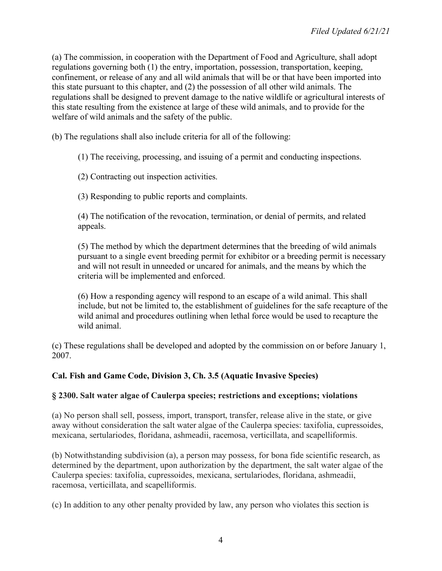(a) The commission, in cooperation with the Department of Food and Agriculture, shall adopt regulations governing both (1) the entry, importation, possession, transportation, keeping, confinement, or release of any and all wild animals that will be or that have been imported into this state pursuant to this chapter, and (2) the possession of all other wild animals. The regulations shall be designed to prevent damage to the native wildlife or agricultural interests of this state resulting from the existence at large of these wild animals, and to provide for the welfare of wild animals and the safety of the public.

(b) The regulations shall also include criteria for all of the following:

(1) The receiving, processing, and issuing of a permit and conducting inspections.

(2) Contracting out inspection activities.

(3) Responding to public reports and complaints.

(4) The notification of the revocation, termination, or denial of permits, and related appeals.

(5) The method by which the department determines that the breeding of wild animals pursuant to a single event breeding permit for exhibitor or a breeding permit is necessary and will not result in unneeded or uncared for animals, and the means by which the criteria will be implemented and enforced.

(6) How a responding agency will respond to an escape of a wild animal. This shall include, but not be limited to, the establishment of guidelines for the safe recapture of the wild animal and procedures outlining when lethal force would be used to recapture the wild animal.

(c) These regulations shall be developed and adopted by the commission on or before January 1, 2007.

# **Cal. Fish and Game Code, Division 3, Ch. 3.5 (Aquatic Invasive Species)**

### **§ 2300. Salt water algae of Caulerpa species; restrictions and exceptions; violations**

(a) No person shall sell, possess, import, transport, transfer, release alive in the state, or give away without consideration the salt water algae of the Caulerpa species: taxifolia, cupressoides, mexicana, sertulariodes, floridana, ashmeadii, racemosa, verticillata, and scapelliformis.

(b) Notwithstanding subdivision (a), a person may possess, for bona fide scientific research, as determined by the department, upon authorization by the department, the salt water algae of the Caulerpa species: taxifolia, cupressoides, mexicana, sertulariodes, floridana, ashmeadii, racemosa, verticillata, and scapelliformis.

(c) In addition to any other penalty provided by law, any person who violates this section is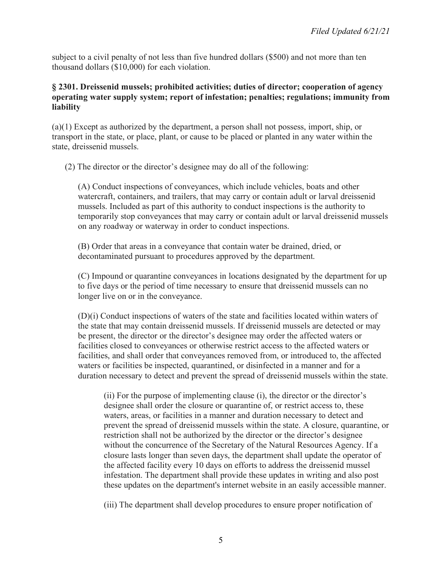subject to a civil penalty of not less than five hundred dollars (\$500) and not more than ten thousand dollars (\$10,000) for each violation.

### **§ 2301. Dreissenid mussels; prohibited activities; duties of director; cooperation of agency operating water supply system; report of infestation; penalties; regulations; immunity from liability**

(a)(1) Except as authorized by the department, a person shall not possess, import, ship, or transport in the state, or place, plant, or cause to be placed or planted in any water within the state, dreissenid mussels.

(2) The director or the director's designee may do all of the following:

(A) Conduct inspections of conveyances, which include vehicles, boats and other watercraft, containers, and trailers, that may carry or contain adult or larval dreissenid mussels. Included as part of this authority to conduct inspections is the authority to temporarily stop conveyances that may carry or contain adult or larval dreissenid mussels on any roadway or waterway in order to conduct inspections.

(B) Order that areas in a conveyance that contain water be drained, dried, or decontaminated pursuant to procedures approved by the department.

(C) Impound or quarantine conveyances in locations designated by the department for up to five days or the period of time necessary to ensure that dreissenid mussels can no longer live on or in the conveyance.

(D)(i) Conduct inspections of waters of the state and facilities located within waters of the state that may contain dreissenid mussels. If dreissenid mussels are detected or may be present, the director or the director's designee may order the affected waters or facilities closed to conveyances or otherwise restrict access to the affected waters or facilities, and shall order that conveyances removed from, or introduced to, the affected waters or facilities be inspected, quarantined, or disinfected in a manner and for a duration necessary to detect and prevent the spread of dreissenid mussels within the state.

(ii) For the purpose of implementing clause (i), the director or the director's designee shall order the closure or quarantine of, or restrict access to, these waters, areas, or facilities in a manner and duration necessary to detect and prevent the spread of dreissenid mussels within the state. A closure, quarantine, or restriction shall not be authorized by the director or the director's designee without the concurrence of the Secretary of the Natural Resources Agency. If a closure lasts longer than seven days, the department shall update the operator of the affected facility every 10 days on efforts to address the dreissenid mussel infestation. The department shall provide these updates in writing and also post these updates on the department's internet website in an easily accessible manner.

(iii) The department shall develop procedures to ensure proper notification of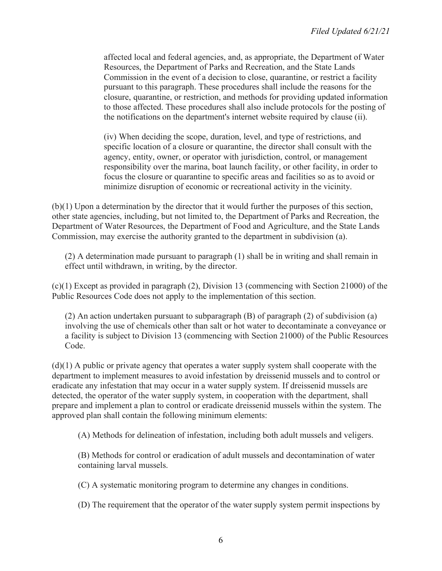affected local and federal agencies, and, as appropriate, the Department of Water Resources, the Department of Parks and Recreation, and the State Lands Commission in the event of a decision to close, quarantine, or restrict a facility pursuant to this paragraph. These procedures shall include the reasons for the closure, quarantine, or restriction, and methods for providing updated information to those affected. These procedures shall also include protocols for the posting of the notifications on the department's internet website required by clause (ii).

(iv) When deciding the scope, duration, level, and type of restrictions, and specific location of a closure or quarantine, the director shall consult with the agency, entity, owner, or operator with jurisdiction, control, or management responsibility over the marina, boat launch facility, or other facility, in order to focus the closure or quarantine to specific areas and facilities so as to avoid or minimize disruption of economic or recreational activity in the vicinity.

(b)(1) Upon a determination by the director that it would further the purposes of this section, other state agencies, including, but not limited to, the Department of Parks and Recreation, the Department of Water Resources, the Department of Food and Agriculture, and the State Lands Commission, may exercise the authority granted to the department in subdivision (a).

(2) A determination made pursuant to paragraph (1) shall be in writing and shall remain in effect until withdrawn, in writing, by the director.

(c)(1) Except as provided in paragraph (2), Division 13 (commencing with Section 21000) of the Public Resources Code does not apply to the implementation of this section.

(2) An action undertaken pursuant to subparagraph (B) of paragraph (2) of subdivision (a) involving the use of chemicals other than salt or hot water to decontaminate a conveyance or a facility is subject to Division 13 (commencing with Section 21000) of the Public Resources Code.

(d)(1) A public or private agency that operates a water supply system shall cooperate with the department to implement measures to avoid infestation by dreissenid mussels and to control or eradicate any infestation that may occur in a water supply system. If dreissenid mussels are detected, the operator of the water supply system, in cooperation with the department, shall prepare and implement a plan to control or eradicate dreissenid mussels within the system. The approved plan shall contain the following minimum elements:

(A) Methods for delineation of infestation, including both adult mussels and veligers.

(B) Methods for control or eradication of adult mussels and decontamination of water containing larval mussels.

(C) A systematic monitoring program to determine any changes in conditions.

(D) The requirement that the operator of the water supply system permit inspections by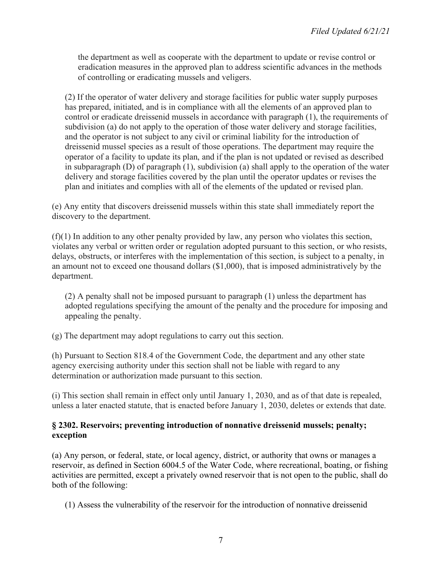the department as well as cooperate with the department to update or revise control or eradication measures in the approved plan to address scientific advances in the methods of controlling or eradicating mussels and veligers.

(2) If the operator of water delivery and storage facilities for public water supply purposes has prepared, initiated, and is in compliance with all the elements of an approved plan to control or eradicate dreissenid mussels in accordance with paragraph (1), the requirements of subdivision (a) do not apply to the operation of those water delivery and storage facilities, and the operator is not subject to any civil or criminal liability for the introduction of dreissenid mussel species as a result of those operations. The department may require the operator of a facility to update its plan, and if the plan is not updated or revised as described in subparagraph (D) of paragraph (1), subdivision (a) shall apply to the operation of the water delivery and storage facilities covered by the plan until the operator updates or revises the plan and initiates and complies with all of the elements of the updated or revised plan.

(e) Any entity that discovers dreissenid mussels within this state shall immediately report the discovery to the department.

(f)(1) In addition to any other penalty provided by law, any person who violates this section, violates any verbal or written order or regulation adopted pursuant to this section, or who resists, delays, obstructs, or interferes with the implementation of this section, is subject to a penalty, in an amount not to exceed one thousand dollars (\$1,000), that is imposed administratively by the department.

(2) A penalty shall not be imposed pursuant to paragraph (1) unless the department has adopted regulations specifying the amount of the penalty and the procedure for imposing and appealing the penalty.

(g) The department may adopt regulations to carry out this section.

(h) Pursuant to Section 818.4 of the Government Code, the department and any other state agency exercising authority under this section shall not be liable with regard to any determination or authorization made pursuant to this section.

(i) This section shall remain in effect only until January 1, 2030, and as of that date is repealed, unless a later enacted statute, that is enacted before January 1, 2030, deletes or extends that date.

### **§ 2302. Reservoirs; preventing introduction of nonnative dreissenid mussels; penalty; exception**

(a) Any person, or federal, state, or local agency, district, or authority that owns or manages a reservoir, as defined in Section 6004.5 of the Water Code, where recreational, boating, or fishing activities are permitted, except a privately owned reservoir that is not open to the public, shall do both of the following:

(1) Assess the vulnerability of the reservoir for the introduction of nonnative dreissenid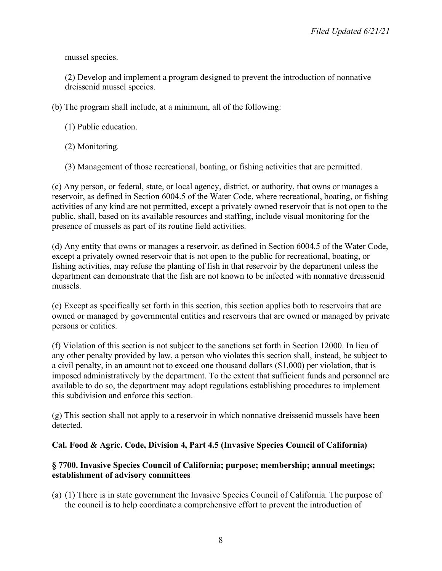mussel species.

(2) Develop and implement a program designed to prevent the introduction of nonnative dreissenid mussel species.

(b) The program shall include, at a minimum, all of the following:

- (1) Public education.
- (2) Monitoring.
- (3) Management of those recreational, boating, or fishing activities that are permitted.

(c) Any person, or federal, state, or local agency, district, or authority, that owns or manages a reservoir, as defined in Section 6004.5 of the Water Code, where recreational, boating, or fishing activities of any kind are not permitted, except a privately owned reservoir that is not open to the public, shall, based on its available resources and staffing, include visual monitoring for the presence of mussels as part of its routine field activities.

(d) Any entity that owns or manages a reservoir, as defined in Section 6004.5 of the Water Code, except a privately owned reservoir that is not open to the public for recreational, boating, or fishing activities, may refuse the planting of fish in that reservoir by the department unless the department can demonstrate that the fish are not known to be infected with nonnative dreissenid mussels.

(e) Except as specifically set forth in this section, this section applies both to reservoirs that are owned or managed by governmental entities and reservoirs that are owned or managed by private persons or entities.

(f) Violation of this section is not subject to the sanctions set forth in Section 12000. In lieu of any other penalty provided by law, a person who violates this section shall, instead, be subject to a civil penalty, in an amount not to exceed one thousand dollars (\$1,000) per violation, that is imposed administratively by the department. To the extent that sufficient funds and personnel are available to do so, the department may adopt regulations establishing procedures to implement this subdivision and enforce this section.

(g) This section shall not apply to a reservoir in which nonnative dreissenid mussels have been detected.

### **Cal. Food & Agric. Code, Division 4, Part 4.5 (Invasive Species Council of California)**

## **§ 7700. Invasive Species Council of California; purpose; membership; annual meetings; establishment of advisory committees**

(a) (1) There is in state government the Invasive Species Council of California. The purpose of the council is to help coordinate a comprehensive effort to prevent the introduction of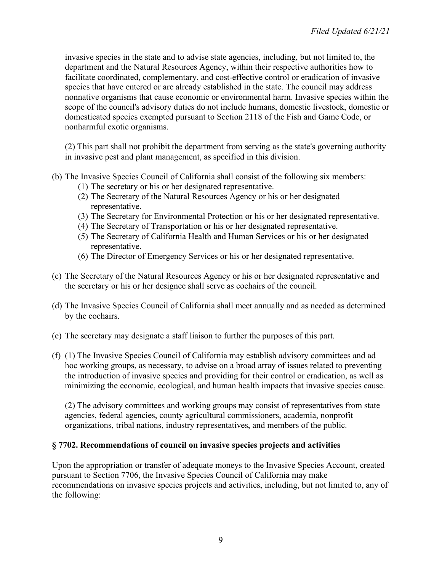invasive species in the state and to advise state agencies, including, but not limited to, the department and the Natural Resources Agency, within their respective authorities how to facilitate coordinated, complementary, and cost-effective control or eradication of invasive species that have entered or are already established in the state. The council may address nonnative organisms that cause economic or environmental harm. Invasive species within the scope of the council's advisory duties do not include humans, domestic livestock, domestic or domesticated species exempted pursuant to Section 2118 of the Fish and Game Code, or nonharmful exotic organisms.

(2) This part shall not prohibit the department from serving as the state's governing authority in invasive pest and plant management, as specified in this division.

- (b) The Invasive Species Council of California shall consist of the following six members:
	- (1) The secretary or his or her designated representative.
	- (2) The Secretary of the Natural Resources Agency or his or her designated representative.
	- (3) The Secretary for Environmental Protection or his or her designated representative.
	- (4) The Secretary of Transportation or his or her designated representative.
	- (5) The Secretary of California Health and Human Services or his or her designated representative.
	- (6) The Director of Emergency Services or his or her designated representative.
- (c) The Secretary of the Natural Resources Agency or his or her designated representative and the secretary or his or her designee shall serve as cochairs of the council.
- (d) The Invasive Species Council of California shall meet annually and as needed as determined by the cochairs.
- (e) The secretary may designate a staff liaison to further the purposes of this part.
- (f) (1) The Invasive Species Council of California may establish advisory committees and ad hoc working groups, as necessary, to advise on a broad array of issues related to preventing the introduction of invasive species and providing for their control or eradication, as well as minimizing the economic, ecological, and human health impacts that invasive species cause.

(2) The advisory committees and working groups may consist of representatives from state agencies, federal agencies, county agricultural commissioners, academia, nonprofit organizations, tribal nations, industry representatives, and members of the public.

### **§ 7702. Recommendations of council on invasive species projects and activities**

Upon the appropriation or transfer of adequate moneys to the Invasive Species Account, created pursuant to Section 7706, the Invasive Species Council of California may make recommendations on invasive species projects and activities, including, but not limited to, any of the following: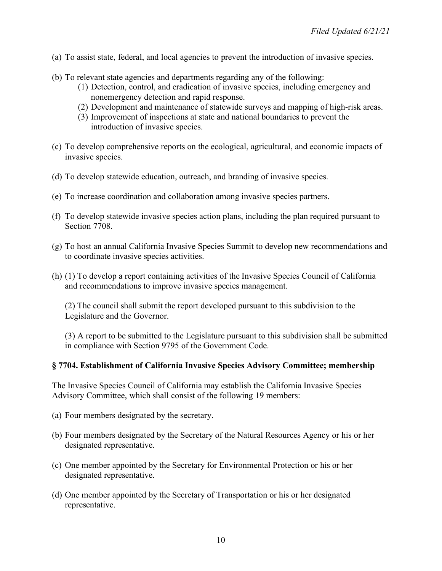- (a) To assist state, federal, and local agencies to prevent the introduction of invasive species.
- (b) To relevant state agencies and departments regarding any of the following:
	- (1) Detection, control, and eradication of invasive species, including emergency and nonemergency detection and rapid response.
	- (2) Development and maintenance of statewide surveys and mapping of high-risk areas.
	- (3) Improvement of inspections at state and national boundaries to prevent the introduction of invasive species.
- (c) To develop comprehensive reports on the ecological, agricultural, and economic impacts of invasive species.
- (d) To develop statewide education, outreach, and branding of invasive species.
- (e) To increase coordination and collaboration among invasive species partners.
- (f) To develop statewide invasive species action plans, including the plan required pursuant to Section 7708.
- (g) To host an annual California Invasive Species Summit to develop new recommendations and to coordinate invasive species activities.
- (h) (1) To develop a report containing activities of the Invasive Species Council of California and recommendations to improve invasive species management.

(2) The council shall submit the report developed pursuant to this subdivision to the Legislature and the Governor.

(3) A report to be submitted to the Legislature pursuant to this subdivision shall be submitted in compliance with Section 9795 of the Government Code.

#### **§ 7704. Establishment of California Invasive Species Advisory Committee; membership**

The Invasive Species Council of California may establish the California Invasive Species Advisory Committee, which shall consist of the following 19 members:

- (a) Four members designated by the secretary.
- (b) Four members designated by the Secretary of the Natural Resources Agency or his or her designated representative.
- (c) One member appointed by the Secretary for Environmental Protection or his or her designated representative.
- (d) One member appointed by the Secretary of Transportation or his or her designated representative.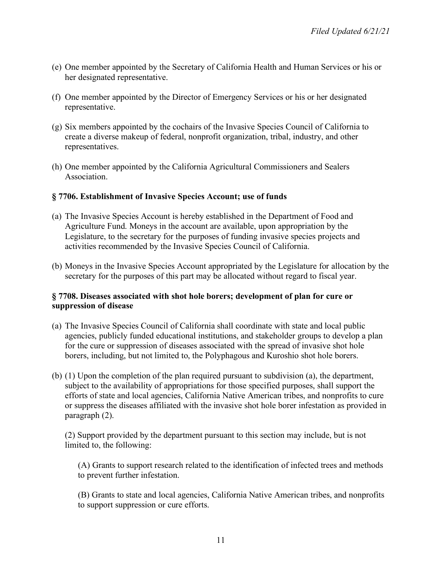- (e) One member appointed by the Secretary of California Health and Human Services or his or her designated representative.
- (f) One member appointed by the Director of Emergency Services or his or her designated representative.
- (g) Six members appointed by the cochairs of the Invasive Species Council of California to create a diverse makeup of federal, nonprofit organization, tribal, industry, and other representatives.
- (h) One member appointed by the California Agricultural Commissioners and Sealers **Association**

#### **§ 7706. Establishment of Invasive Species Account; use of funds**

- (a) The Invasive Species Account is hereby established in the Department of Food and Agriculture Fund. Moneys in the account are available, upon appropriation by the Legislature, to the secretary for the purposes of funding invasive species projects and activities recommended by the Invasive Species Council of California.
- (b) Moneys in the Invasive Species Account appropriated by the Legislature for allocation by the secretary for the purposes of this part may be allocated without regard to fiscal year.

#### **§ 7708. Diseases associated with shot hole borers; development of plan for cure or suppression of disease**

- (a) The Invasive Species Council of California shall coordinate with state and local public agencies, publicly funded educational institutions, and stakeholder groups to develop a plan for the cure or suppression of diseases associated with the spread of invasive shot hole borers, including, but not limited to, the Polyphagous and Kuroshio shot hole borers.
- (b) (1) Upon the completion of the plan required pursuant to subdivision (a), the department, subject to the availability of appropriations for those specified purposes, shall support the efforts of state and local agencies, California Native American tribes, and nonprofits to cure or suppress the diseases affiliated with the invasive shot hole borer infestation as provided in paragraph (2).

(2) Support provided by the department pursuant to this section may include, but is not limited to, the following:

(A) Grants to support research related to the identification of infected trees and methods to prevent further infestation.

(B) Grants to state and local agencies, California Native American tribes, and nonprofits to support suppression or cure efforts.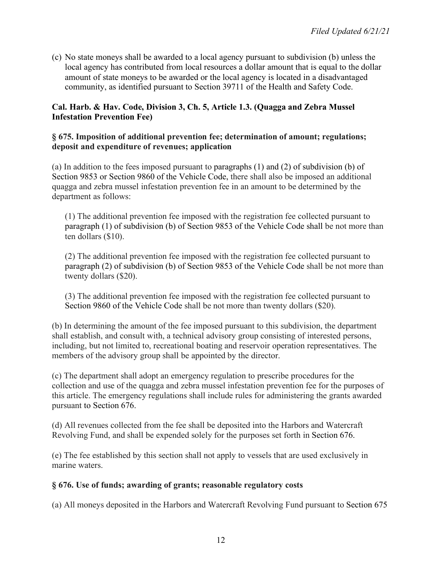(c) No state moneys shall be awarded to a local agency pursuant to subdivision (b) unless the local agency has contributed from local resources a dollar amount that is equal to the dollar amount of state moneys to be awarded or the local agency is located in a disadvantaged community, as identified pursuant to Section 39711 of the Health and Safety Code.

## **Cal. Harb. & Hav. Code, Division 3, Ch. 5, Article 1.3. (Quagga and Zebra Mussel Infestation Prevention Fee)**

### **§ 675. Imposition of additional prevention fee; determination of amount; regulations; deposit and expenditure of revenues; application**

(a) In addition to the fees imposed pursuant to paragraphs (1) and (2) of subdivision (b) of Section 9853 or Section 9860 of the Vehicle Code, there shall also be imposed an additional quagga and zebra mussel infestation prevention fee in an amount to be determined by the department as follows:

(1) The additional prevention fee imposed with the registration fee collected pursuant to paragraph (1) of subdivision (b) of Section 9853 of the Vehicle Code shall be not more than ten dollars (\$10).

(2) The additional prevention fee imposed with the registration fee collected pursuant to paragraph (2) of subdivision (b) of Section 9853 of the Vehicle Code shall be not more than twenty dollars (\$20).

(3) The additional prevention fee imposed with the registration fee collected pursuant to Section 9860 of the Vehicle Code shall be not more than twenty dollars (\$20).

(b) In determining the amount of the fee imposed pursuant to this subdivision, the department shall establish, and consult with, a technical advisory group consisting of interested persons, including, but not limited to, recreational boating and reservoir operation representatives. The members of the advisory group shall be appointed by the director.

(c) The department shall adopt an emergency regulation to prescribe procedures for the collection and use of the quagga and zebra mussel infestation prevention fee for the purposes of this article. The emergency regulations shall include rules for administering the grants awarded pursuant to Section 676.

(d) All revenues collected from the fee shall be deposited into the Harbors and Watercraft Revolving Fund, and shall be expended solely for the purposes set forth in Section 676.

(e) The fee established by this section shall not apply to vessels that are used exclusively in marine waters.

# **§ 676. Use of funds; awarding of grants; reasonable regulatory costs**

(a) All moneys deposited in the Harbors and Watercraft Revolving Fund pursuant to Section 675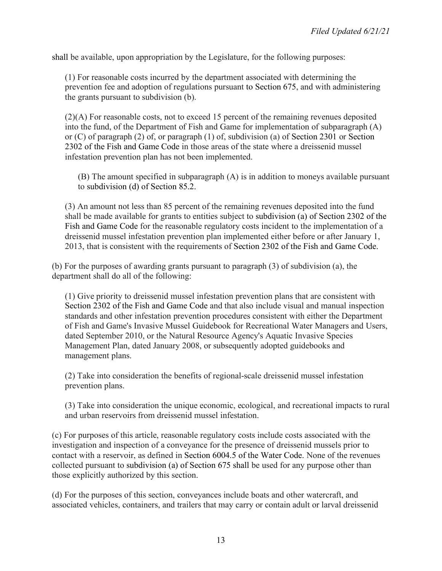shall be available, upon appropriation by the Legislature, for the following purposes:

(1) For reasonable costs incurred by the department associated with determining the prevention fee and adoption of regulations pursuant to Section 675, and with administering the grants pursuant to subdivision (b).

(2)(A) For reasonable costs, not to exceed 15 percent of the remaining revenues deposited into the fund, of the Department of Fish and Game for implementation of subparagraph (A) or (C) of paragraph (2) of, or paragraph (1) of, subdivision (a) of Section 2301 or Section 2302 of the Fish and Game Code in those areas of the state where a dreissenid mussel infestation prevention plan has not been implemented.

(B) The amount specified in subparagraph (A) is in addition to moneys available pursuant to subdivision (d) of Section 85.2.

(3) An amount not less than 85 percent of the remaining revenues deposited into the fund shall be made available for grants to entities subject to subdivision (a) of Section 2302 of the Fish and Game Code for the reasonable regulatory costs incident to the implementation of a dreissenid mussel infestation prevention plan implemented either before or after January 1, 2013, that is consistent with the requirements of Section 2302 of the Fish and Game Code.

(b) For the purposes of awarding grants pursuant to paragraph (3) of subdivision (a), the department shall do all of the following:

(1) Give priority to dreissenid mussel infestation prevention plans that are consistent with Section 2302 of the Fish and Game Code and that also include visual and manual inspection standards and other infestation prevention procedures consistent with either the Department of Fish and Game's Invasive Mussel Guidebook for Recreational Water Managers and Users, dated September 2010, or the Natural Resource Agency's Aquatic Invasive Species Management Plan, dated January 2008, or subsequently adopted guidebooks and management plans.

(2) Take into consideration the benefits of regional-scale dreissenid mussel infestation prevention plans.

(3) Take into consideration the unique economic, ecological, and recreational impacts to rural and urban reservoirs from dreissenid mussel infestation.

(c) For purposes of this article, reasonable regulatory costs include costs associated with the investigation and inspection of a conveyance for the presence of dreissenid mussels prior to contact with a reservoir, as defined in Section 6004.5 of the Water Code. None of the revenues collected pursuant to subdivision (a) of Section 675 shall be used for any purpose other than those explicitly authorized by this section.

(d) For the purposes of this section, conveyances include boats and other watercraft, and associated vehicles, containers, and trailers that may carry or contain adult or larval dreissenid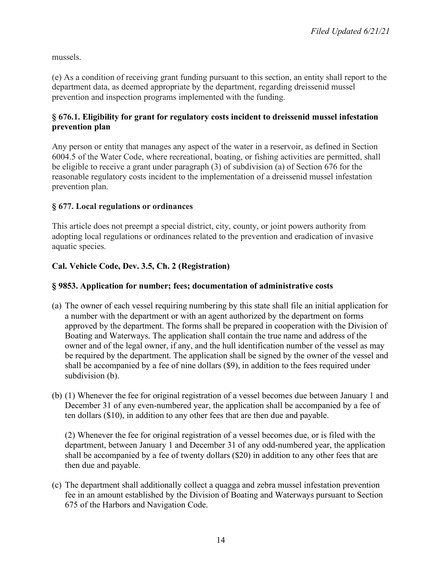mussels.

(e) As a condition of receiving grant funding pursuant to this section, an entity shall report to the department data, as deemed appropriate by the department, regarding dreissenid mussel prevention and inspection programs implemented with the funding.

# **§ 676.1. Eligibility for grant for regulatory costs incident to dreissenid mussel infestation prevention plan**

Any person or entity that manages any aspect of the water in a reservoir, as defined in Section 6004.5 of the Water Code, where recreational, boating, or fishing activities are permitted, shall be eligible to receive a grant under paragraph (3) of subdivision (a) of Section 676 for the reasonable regulatory costs incident to the implementation of a dreissenid mussel infestation prevention plan.

# **§ 677. Local regulations or ordinances**

This article does not preempt a special district, city, county, or joint powers authority from adopting local regulations or ordinances related to the prevention and eradication of invasive aquatic species.

# **Cal. Vehicle Code, Dev. 3.5, Ch. 2 (Registration)**

# **§ 9853. Application for number; fees; documentation of administrative costs**

- (a) The owner of each vessel requiring numbering by this state shall file an initial application for a number with the department or with an agent authorized by the department on forms approved by the department. The forms shall be prepared in cooperation with the Division of Boating and Waterways. The application shall contain the true name and address of the owner and of the legal owner, if any, and the hull identification number of the vessel as may be required by the department. The application shall be signed by the owner of the vessel and shall be accompanied by a fee of nine dollars (\$9), in addition to the fees required under subdivision (b).
- (b) (1) Whenever the fee for original registration of a vessel becomes due between January 1 and December 31 of any even-numbered year, the application shall be accompanied by a fee of ten dollars (\$10), in addition to any other fees that are then due and payable.

(2) Whenever the fee for original registration of a vessel becomes due, or is filed with the department, between January 1 and December 31 of any odd-numbered year, the application shall be accompanied by a fee of twenty dollars (\$20) in addition to any other fees that are then due and payable.

(c) The department shall additionally collect a quagga and zebra mussel infestation prevention fee in an amount established by the Division of Boating and Waterways pursuant to Section 675 of the Harbors and Navigation Code.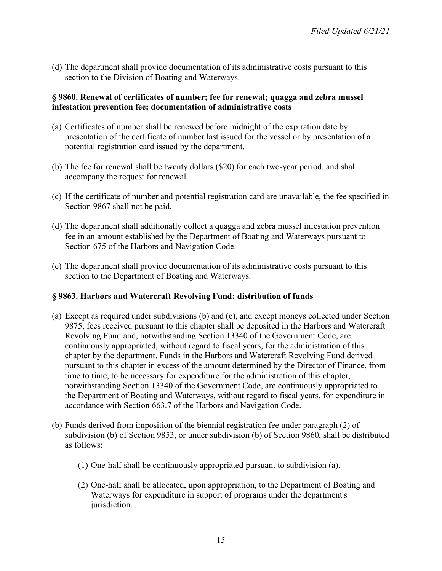(d) The department shall provide documentation of its administrative costs pursuant to this section to the Division of Boating and Waterways.

### **§ 9860. Renewal of certificates of number; fee for renewal; quagga and zebra mussel infestation prevention fee; documentation of administrative costs**

- (a) Certificates of number shall be renewed before midnight of the expiration date by presentation of the certificate of number last issued for the vessel or by presentation of a potential registration card issued by the department.
- (b) The fee for renewal shall be twenty dollars (\$20) for each two-year period, and shall accompany the request for renewal.
- (c) If the certificate of number and potential registration card are unavailable, the fee specified in Section 9867 shall not be paid.
- (d) The department shall additionally collect a quagga and zebra mussel infestation prevention fee in an amount established by the Department of Boating and Waterways pursuant to Section 675 of the Harbors and Navigation Code.
- (e) The department shall provide documentation of its administrative costs pursuant to this section to the Department of Boating and Waterways.

### **§ 9863. Harbors and Watercraft Revolving Fund; distribution of funds**

- (a) Except as required under subdivisions (b) and (c), and except moneys collected under Section 9875, fees received pursuant to this chapter shall be deposited in the Harbors and Watercraft Revolving Fund and, notwithstanding Section 13340 of the Government Code, are continuously appropriated, without regard to fiscal years, for the administration of this chapter by the department. Funds in the Harbors and Watercraft Revolving Fund derived pursuant to this chapter in excess of the amount determined by the Director of Finance, from time to time, to be necessary for expenditure for the administration of this chapter, notwithstanding Section 13340 of the Government Code, are continuously appropriated to the Department of Boating and Waterways, without regard to fiscal years, for expenditure in accordance with Section 663.7 of the Harbors and Navigation Code.
- (b) Funds derived from imposition of the biennial registration fee under paragraph (2) of subdivision (b) of Section 9853, or under subdivision (b) of Section 9860, shall be distributed as follows:
	- (1) One-half shall be continuously appropriated pursuant to subdivision (a).
	- (2) One-half shall be allocated, upon appropriation, to the Department of Boating and Waterways for expenditure in support of programs under the department's jurisdiction.